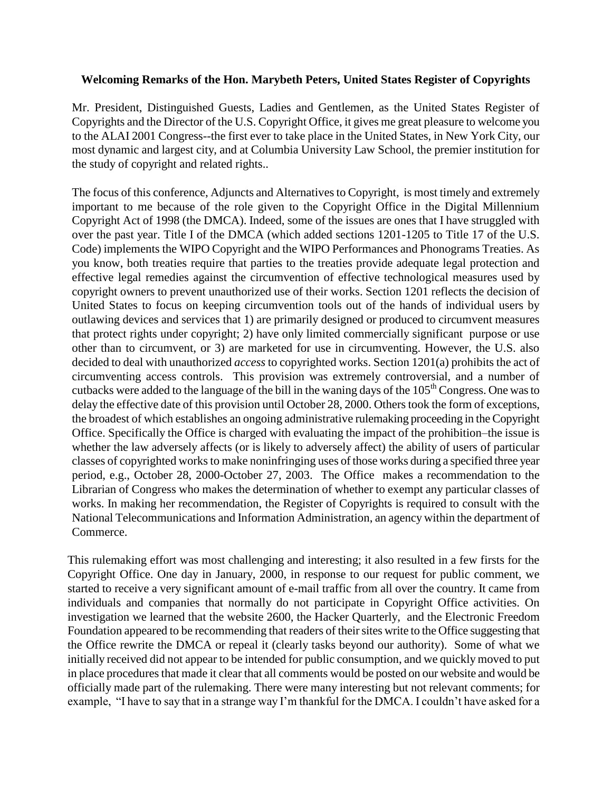## **Welcoming Remarks of the Hon. Marybeth Peters, United States Register of Copyrights**

Mr. President, Distinguished Guests, Ladies and Gentlemen, as the United States Register of Copyrights and the Director of the U.S. Copyright Office, it gives me great pleasure to welcome you to the ALAI 2001 Congress--the first ever to take place in the United States, in New York City, our most dynamic and largest city, and at Columbia University Law School, the premier institution for the study of copyright and related rights..

The focus of this conference, Adjuncts and Alternatives to Copyright, is most timely and extremely important to me because of the role given to the Copyright Office in the Digital Millennium Copyright Act of 1998 (the DMCA). Indeed, some of the issues are ones that I have struggled with over the past year. Title I of the DMCA (which added sections 1201-1205 to Title 17 of the U.S. Code) implements the WIPO Copyright and the WIPO Performances and Phonograms Treaties. As you know, both treaties require that parties to the treaties provide adequate legal protection and effective legal remedies against the circumvention of effective technological measures used by copyright owners to prevent unauthorized use of their works. Section 1201 reflects the decision of United States to focus on keeping circumvention tools out of the hands of individual users by outlawing devices and services that 1) are primarily designed or produced to circumvent measures that protect rights under copyright; 2) have only limited commercially significant purpose or use other than to circumvent, or 3) are marketed for use in circumventing. However, the U.S. also decided to deal with unauthorized *access* to copyrighted works. Section 1201(a) prohibits the act of circumventing access controls. This provision was extremely controversial, and a number of cutbacks were added to the language of the bill in the waning days of the  $105<sup>th</sup>$  Congress. One was to delay the effective date of this provision until October 28, 2000. Others took the form of exceptions, the broadest of which establishes an ongoing administrative rulemaking proceeding in the Copyright Office. Specifically the Office is charged with evaluating the impact of the prohibition–the issue is whether the law adversely affects (or is likely to adversely affect) the ability of users of particular classes of copyrighted works to make noninfringing uses of those works during a specified three year period, e.g., October 28, 2000-October 27, 2003. The Office makes a recommendation to the Librarian of Congress who makes the determination of whether to exempt any particular classes of works. In making her recommendation, the Register of Copyrights is required to consult with the National Telecommunications and Information Administration, an agency within the department of Commerce.

This rulemaking effort was most challenging and interesting; it also resulted in a few firsts for the Copyright Office. One day in January, 2000, in response to our request for public comment, we started to receive a very significant amount of e-mail traffic from all over the country. It came from individuals and companies that normally do not participate in Copyright Office activities. On investigation we learned that the website 2600, the Hacker Quarterly, and the Electronic Freedom Foundation appeared to be recommending that readers of their sites write to the Office suggesting that the Office rewrite the DMCA or repeal it (clearly tasks beyond our authority). Some of what we initially received did not appear to be intended for public consumption, and we quickly moved to put in place procedures that made it clear that all comments would be posted on our website and would be officially made part of the rulemaking. There were many interesting but not relevant comments; for example, "I have to say that in a strange way I'm thankful for the DMCA. I couldn't have asked for a